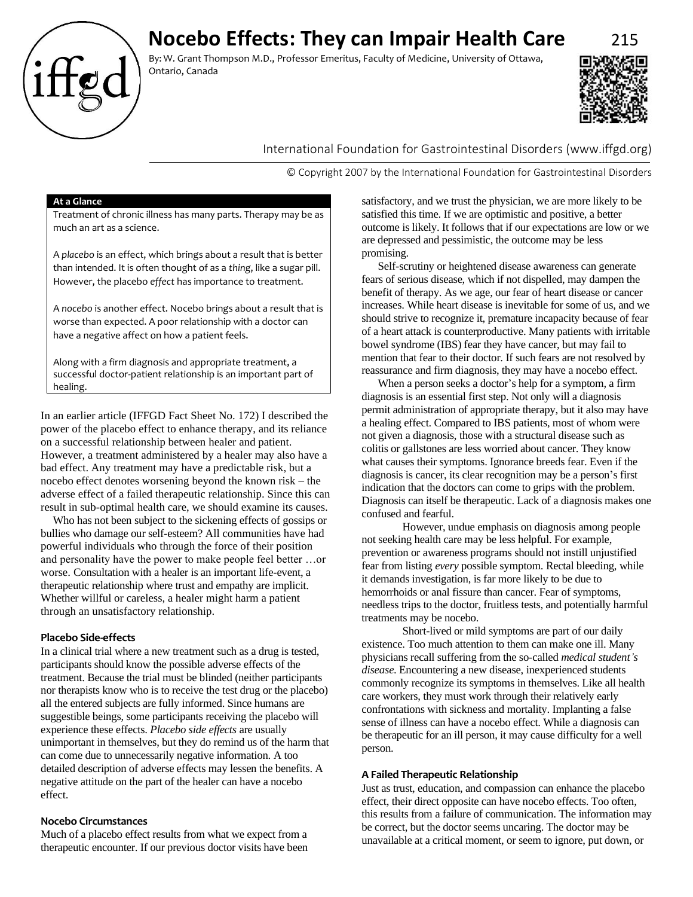

By: W. Grant Thompson M.D., Professor Emeritus, Faculty of Medicine, University of Ottawa, Ontario, Canada



# International Foundation for Gastrointestinal Disorders (www.iffgd.org)

© Copyright 2007 by the International Foundation for Gastrointestinal Disorders

## **At a Glance**

Treatment of chronic illness has many parts. Therapy may be as much an art as a science.

A *placebo* is an effect, which brings about a result that is better than intended. It is often thought of as a *thing*, like a sugar pill. However, the placebo *effect* has importance to treatment.

A *nocebo* is another effect. Nocebo brings about a result that is worse than expected. A poor relationship with a doctor can have a negative affect on how a patient feels.

Along with a firm diagnosis and appropriate treatment, a successful doctor-patient relationship is an important part of healing.

In an earlier article (IFFGD Fact Sheet No. 172) I described the power of the placebo effect to enhance therapy, and its reliance on a successful relationship between healer and patient. However, a treatment administered by a healer may also have a bad effect. Any treatment may have a predictable risk, but a nocebo effect denotes worsening beyond the known risk – the adverse effect of a failed therapeutic relationship. Since this can result in sub-optimal health care, we should examine its causes.

Who has not been subject to the sickening effects of gossips or bullies who damage our self-esteem? All communities have had powerful individuals who through the force of their position and personality have the power to make people feel better …or worse. Consultation with a healer is an important life-event, a therapeutic relationship where trust and empathy are implicit. Whether willful or careless, a healer might harm a patient through an unsatisfactory relationship.

## **Placebo Side-effects**

In a clinical trial where a new treatment such as a drug is tested, participants should know the possible adverse effects of the treatment. Because the trial must be blinded (neither participants nor therapists know who is to receive the test drug or the placebo) all the entered subjects are fully informed. Since humans are suggestible beings, some participants receiving the placebo will experience these effects. *Placebo side effects* are usually unimportant in themselves, but they do remind us of the harm that can come due to unnecessarily negative information. A too detailed description of adverse effects may lessen the benefits. A negative attitude on the part of the healer can have a nocebo effect.

# **Nocebo Circumstances**

Much of a placebo effect results from what we expect from a therapeutic encounter. If our previous doctor visits have been

satisfactory, and we trust the physician, we are more likely to be satisfied this time. If we are optimistic and positive, a better outcome is likely. It follows that if our expectations are low or we are depressed and pessimistic, the outcome may be less promising.

Self-scrutiny or heightened disease awareness can generate fears of serious disease, which if not dispelled, may dampen the benefit of therapy. As we age, our fear of heart disease or cancer increases. While heart disease is inevitable for some of us, and we should strive to recognize it, premature incapacity because of fear of a heart attack is counterproductive. Many patients with irritable bowel syndrome (IBS) fear they have cancer, but may fail to mention that fear to their doctor. If such fears are not resolved by reassurance and firm diagnosis, they may have a nocebo effect.

When a person seeks a doctor's help for a symptom, a firm diagnosis is an essential first step. Not only will a diagnosis permit administration of appropriate therapy, but it also may have a healing effect. Compared to IBS patients, most of whom were not given a diagnosis, those with a structural disease such as colitis or gallstones are less worried about cancer. They know what causes their symptoms. Ignorance breeds fear. Even if the diagnosis is cancer, its clear recognition may be a person's first indication that the doctors can come to grips with the problem. Diagnosis can itself be therapeutic. Lack of a diagnosis makes one confused and fearful.

However, undue emphasis on diagnosis among people not seeking health care may be less helpful. For example, prevention or awareness programs should not instill unjustified fear from listing *every* possible symptom. Rectal bleeding, while it demands investigation, is far more likely to be due to hemorrhoids or anal fissure than cancer. Fear of symptoms, needless trips to the doctor, fruitless tests, and potentially harmful treatments may be nocebo.

Short-lived or mild symptoms are part of our daily existence. Too much attention to them can make one ill. Many physicians recall suffering from the so-called *medical student's disease*. Encountering a new disease, inexperienced students commonly recognize its symptoms in themselves. Like all health care workers, they must work through their relatively early confrontations with sickness and mortality. Implanting a false sense of illness can have a nocebo effect. While a diagnosis can be therapeutic for an ill person, it may cause difficulty for a well person.

## **A Failed Therapeutic Relationship**

Just as trust, education, and compassion can enhance the placebo effect, their direct opposite can have nocebo effects. Too often, this results from a failure of communication. The information may be correct, but the doctor seems uncaring. The doctor may be unavailable at a critical moment, or seem to ignore, put down, or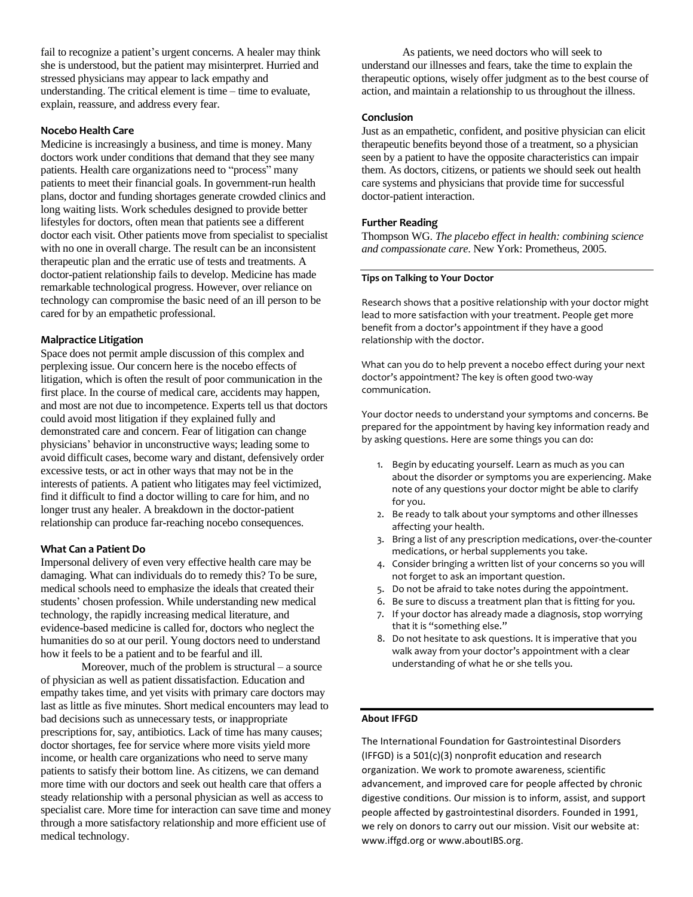fail to recognize a patient's urgent concerns. A healer may think she is understood, but the patient may misinterpret. Hurried and stressed physicians may appear to lack empathy and understanding. The critical element is time – time to evaluate, explain, reassure, and address every fear.

## **Nocebo Health Care**

Medicine is increasingly a business, and time is money. Many doctors work under conditions that demand that they see many patients. Health care organizations need to "process" many patients to meet their financial goals. In government-run health plans, doctor and funding shortages generate crowded clinics and long waiting lists. Work schedules designed to provide better lifestyles for doctors, often mean that patients see a different doctor each visit. Other patients move from specialist to specialist with no one in overall charge. The result can be an inconsistent therapeutic plan and the erratic use of tests and treatments. A doctor-patient relationship fails to develop. Medicine has made remarkable technological progress. However, over reliance on technology can compromise the basic need of an ill person to be cared for by an empathetic professional.

## **Malpractice Litigation**

Space does not permit ample discussion of this complex and perplexing issue. Our concern here is the nocebo effects of litigation, which is often the result of poor communication in the first place. In the course of medical care, accidents may happen, and most are not due to incompetence. Experts tell us that doctors could avoid most litigation if they explained fully and demonstrated care and concern. Fear of litigation can change physicians' behavior in unconstructive ways; leading some to avoid difficult cases, become wary and distant, defensively order excessive tests, or act in other ways that may not be in the interests of patients. A patient who litigates may feel victimized, find it difficult to find a doctor willing to care for him, and no longer trust any healer. A breakdown in the doctor-patient relationship can produce far-reaching nocebo consequences.

## **What Can a Patient Do**

Impersonal delivery of even very effective health care may be damaging. What can individuals do to remedy this? To be sure, medical schools need to emphasize the ideals that created their students' chosen profession. While understanding new medical technology, the rapidly increasing medical literature, and evidence-based medicine is called for, doctors who neglect the humanities do so at our peril. Young doctors need to understand how it feels to be a patient and to be fearful and ill.

Moreover, much of the problem is structural – a source of physician as well as patient dissatisfaction. Education and empathy takes time, and yet visits with primary care doctors may last as little as five minutes. Short medical encounters may lead to bad decisions such as unnecessary tests, or inappropriate prescriptions for, say, antibiotics. Lack of time has many causes; doctor shortages, fee for service where more visits yield more income, or health care organizations who need to serve many patients to satisfy their bottom line. As citizens, we can demand more time with our doctors and seek out health care that offers a steady relationship with a personal physician as well as access to specialist care. More time for interaction can save time and money through a more satisfactory relationship and more efficient use of medical technology.

As patients, we need doctors who will seek to understand our illnesses and fears, take the time to explain the therapeutic options, wisely offer judgment as to the best course of action, and maintain a relationship to us throughout the illness.

#### **Conclusion**

Just as an empathetic, confident, and positive physician can elicit therapeutic benefits beyond those of a treatment, so a physician seen by a patient to have the opposite characteristics can impair them. As doctors, citizens, or patients we should seek out health care systems and physicians that provide time for successful doctor-patient interaction.

## **Further Reading**

Thompson WG. *The placebo effect in health: combining science and compassionate care*. New York: Prometheus, 2005.

## **Tips on Talking to Your Doctor**

Research shows that a positive relationship with your doctor might lead to more satisfaction with your treatment. People get more benefit from a doctor's appointment if they have a good relationship with the doctor.

What can you do to help prevent a nocebo effect during your next doctor's appointment? The key is often good two-way communication.

Your doctor needs to understand your symptoms and concerns. Be prepared for the appointment by having key information ready and by asking questions. Here are some things you can do:

- 1. Begin by educating yourself. Learn as much as you can about the disorder or symptoms you are experiencing. Make note of any questions your doctor might be able to clarify for you.
- 2. Be ready to talk about your symptoms and other illnesses affecting your health.
- 3. Bring a list of any prescription medications, over-the-counter medications, or herbal supplements you take.
- 4. Consider bringing a written list of your concerns so you will not forget to ask an important question.
- 5. Do not be afraid to take notes during the appointment.
- 6. Be sure to discuss a treatment plan that is fitting for you.
- 7. If your doctor has already made a diagnosis, stop worrying that it is "something else."
- 8. Do not hesitate to ask questions. It is imperative that you walk away from your doctor's appointment with a clear understanding of what he or she tells you.

## **About IFFGD**

The International Foundation for Gastrointestinal Disorders (IFFGD) is a 501(c)(3) nonprofit education and research organization. We work to promote awareness, scientific advancement, and improved care for people affected by chronic digestive conditions. Our mission is to inform, assist, and support people affected by gastrointestinal disorders. Founded in 1991, we rely on donors to carry out our mission. Visit our website at: www.iffgd.org or www.aboutIBS.org.